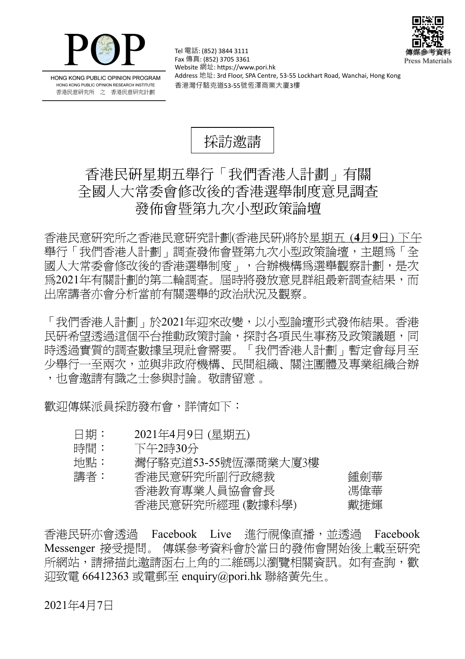



HONG KONG PUBLIC OPINION PROGRAM HONG KONG PUBLIC OPINION RESEARCH INSTITUTE 香港民意研究所 之 香港民意研究計劃

Tel 電話: (852) 3844 3111 Fax 傳真: (852) 3705 3361 Website 網址: https://www.pori.hk Address 地址: 3rd Floor, SPA Centre, 53-55 Lockhart Road, Wanchai, Hong Kong 香港灣仔駱克道53-55號恆澤商業大廈3樓



## 香港民研星期五舉行「我們香港人計劃」有關 全國人大常委會修改後的香港選舉制度意見調查 發佈會暨第九次小型政策論壇

香 港 民 意 研 究 所 之 香 港 民 意 研 究 計 劃 (香 港 民 研)將 於 星期五 (**4** 月**9** 日) 下午 舉行「我們香港人計劃」調査發佈會暨第九次小型政策論壇,主題為「全 國人大常委會修改後的香港選舉制度 , , 合辦機構為選舉觀察計劃, 是次 爲2021年有關計劃的第二輪調查。屆時將發放意見群組最新調查結果,而 出席講者亦會分析當前有關選舉的政治狀況及觀察。

「我們香港人計劃」於2021年迎來改變,以小型論壇形式發佈結果。香港 民研希望透過這個平台推動政策討論,探討各項民生事務及政策議題,同 時透過實質的調查數據呈現社會需要。「我們香港人計劃」暫定會每月至 少舉行一至兩次,並與非政府機構、民間組織、關注團體及專業組織合辦 ,也會激請有識之士參與討論。敬請留意 。

歡迎傳媒派員採訪發布會,詳情如下:

- 日期: 2021年4月9日 (星期五)
- 時間: 下午2時30分

| 地點: | 灣仔駱克道53-55號恆澤商業大厦3樓 |     |
|-----|---------------------|-----|
| 講者: | 香港民意研究所副行政總裁        | 鍾劍華 |
|     | 香港教育專業人員協會會長        | 馮偉華 |
|     | 香港民意研究所經理(數據科學)     | 戴捷輝 |

香港民研亦會诱過 Facebook Live 淮行視像直播,並诱過 Facebook Messenger 接受提問。 傳媒參考資料會於當日的發佈會開始後上載至研究 所網站,請掃描此激請函右上角的二維碼以瀏覽相關資訊。如有杳詢,歡  $\overline{1}$ 迎致雷 66412363 或電郵至 enquiry@pori.hk 聯絡黃先生。

## 2021年4月7日